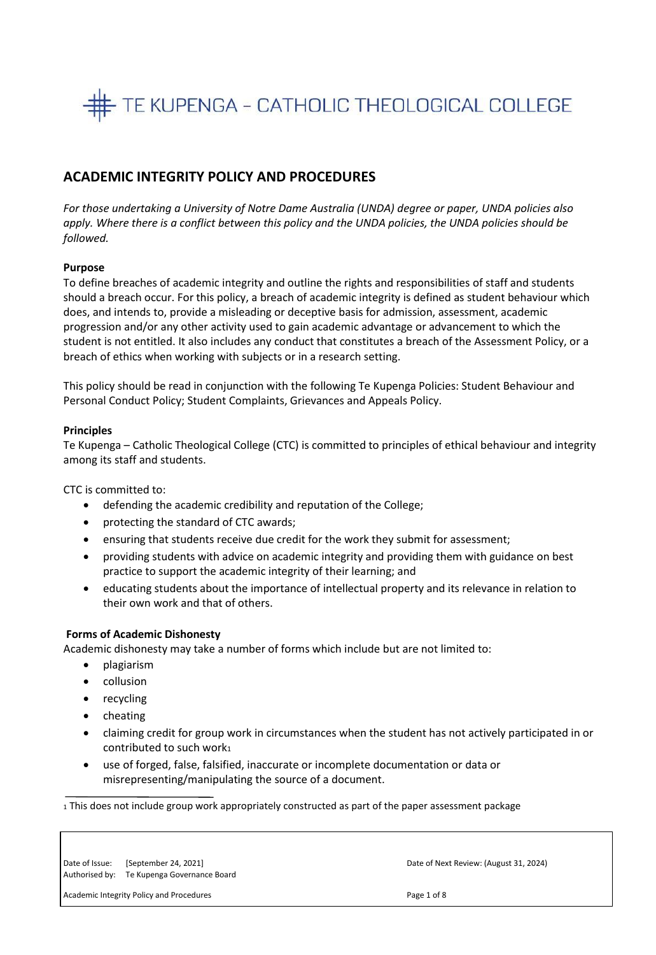# TE KUPENGA - CATHOLIC THEOLOGICAL COLLEGE

# **ACADEMIC INTEGRITY POLICY AND PROCEDURES**

*For those undertaking a University of Notre Dame Australia (UNDA) degree or paper, UNDA policies also apply. Where there is a conflict between this policy and the UNDA policies, the UNDA policies should be followed.* 

# **Purpose**

To define breaches of academic integrity and outline the rights and responsibilities of staff and students should a breach occur. For this policy, a breach of academic integrity is defined as student behaviour which does, and intends to, provide a misleading or deceptive basis for admission, assessment, academic progression and/or any other activity used to gain academic advantage or advancement to which the student is not entitled. It also includes any conduct that constitutes a breach of the Assessment Policy, or a breach of ethics when working with subjects or in a research setting.

This policy should be read in conjunction with the following Te Kupenga Policies: Student Behaviour and Personal Conduct Policy; Student Complaints, Grievances and Appeals Policy.

#### **Principles**

Te Kupenga – Catholic Theological College (CTC) is committed to principles of ethical behaviour and integrity among its staff and students.

CTC is committed to:

- defending the academic credibility and reputation of the College;
- protecting the standard of CTC awards;
- ensuring that students receive due credit for the work they submit for assessment;
- providing students with advice on academic integrity and providing them with guidance on best practice to support the academic integrity of their learning; and
- educating students about the importance of intellectual property and its relevance in relation to their own work and that of others.

# **Forms of Academic Dishonesty**

Academic dishonesty may take a number of forms which include but are not limited to:

- plagiarism
- collusion
- recycling
- cheating
- claiming credit for group work in circumstances when the student has not actively participated in or contributed to such work<sup>1</sup>
- use of forged, false, falsified, inaccurate or incomplete documentation or data or misrepresenting/manipulating the source of a document.

<sup>1</sup> This does not include group work appropriately constructed as part of the paper assessment package

Date of Issue: [September 24, 2021] Date of Next Review: (August 31, 2024) Authorised by: Te Kupenga Governance Board Academic Integrity Policy and Procedures **Page 1** of 8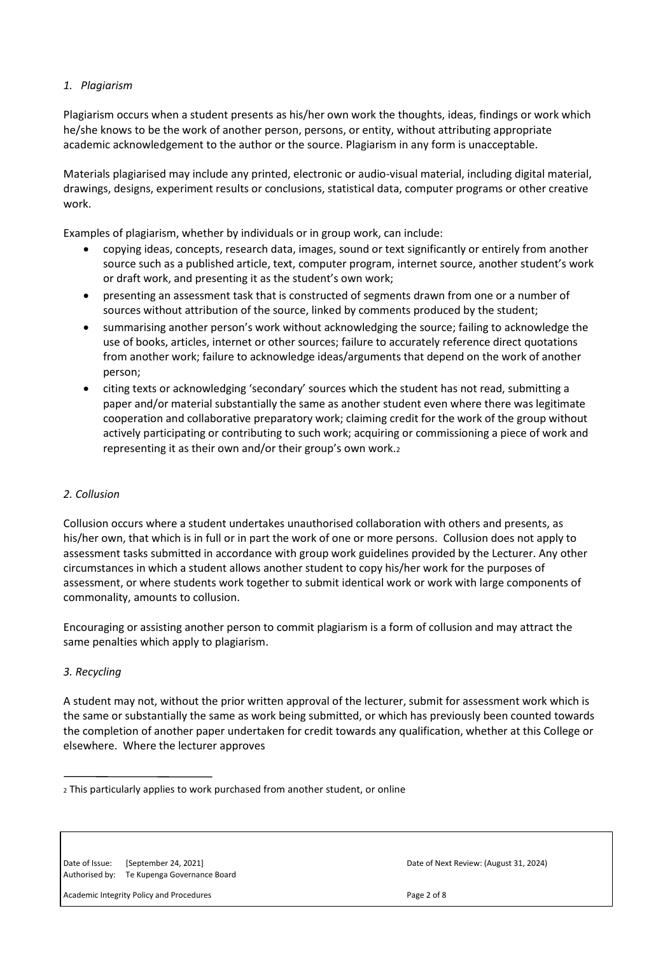# *1. Plagiarism*

Plagiarism occurs when a student presents as his/her own work the thoughts, ideas, findings or work which he/she knows to be the work of another person, persons, or entity, without attributing appropriate academic acknowledgement to the author or the source. Plagiarism in any form is unacceptable.

Materials plagiarised may include any printed, electronic or audio-visual material, including digital material, drawings, designs, experiment results or conclusions, statistical data, computer programs or other creative work.

Examples of plagiarism, whether by individuals or in group work, can include:

- copying ideas, concepts, research data, images, sound or text significantly or entirely from another source such as a published article, text, computer program, internet source, another student's work or draft work, and presenting it as the student's own work;
- presenting an assessment task that is constructed of segments drawn from one or a number of sources without attribution of the source, linked by comments produced by the student;
- summarising another person's work without acknowledging the source; failing to acknowledge the use of books, articles, internet or other sources; failure to accurately reference direct quotations from another work; failure to acknowledge ideas/arguments that depend on the work of another person;
- citing texts or acknowledging 'secondary' sources which the student has not read, submitting a paper and/or material substantially the same as another student even where there was legitimate cooperation and collaborative preparatory work; claiming credit for the work of the group without actively participating or contributing to such work; acquiring or commissioning a piece of work and representing it as their own and/or their group's own work.<sup>2</sup>

# *2. Collusion*

Collusion occurs where a student undertakes unauthorised collaboration with others and presents, as his/her own, that which is in full or in part the work of one or more persons. Collusion does not apply to assessment tasks submitted in accordance with group work guidelines provided by the Lecturer. Any other circumstances in which a student allows another student to copy his/her work for the purposes of assessment, or where students work together to submit identical work or work with large components of commonality, amounts to collusion.

Encouraging or assisting another person to commit plagiarism is a form of collusion and may attract the same penalties which apply to plagiarism.

# *3. Recycling*

A student may not, without the prior written approval of the lecturer, submit for assessment work which is the same or substantially the same as work being submitted, or which has previously been counted towards the completion of another paper undertaken for credit towards any qualification, whether at this College or elsewhere. Where the lecturer approves

Date of Issue: [September 24, 2021] Date of Next Review: (August 31, 2024) Authorised by: Te Kupenga Governance Board

Academic Integrity Policy and Procedures **Page 2 of 8** and 2 of 8

<sup>2</sup> This particularly applies to work purchased from another student, or online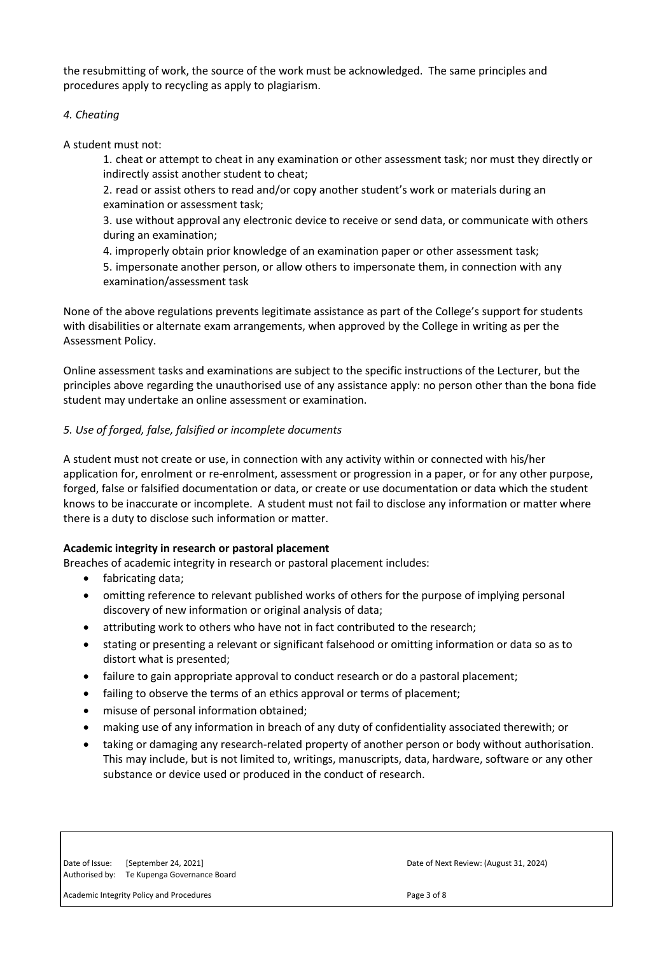the resubmitting of work, the source of the work must be acknowledged. The same principles and procedures apply to recycling as apply to plagiarism.

# *4. Cheating*

A student must not:

1. cheat or attempt to cheat in any examination or other assessment task; nor must they directly or indirectly assist another student to cheat;

2. read or assist others to read and/or copy another student's work or materials during an examination or assessment task;

3. use without approval any electronic device to receive or send data, or communicate with others during an examination;

4. improperly obtain prior knowledge of an examination paper or other assessment task;

5. impersonate another person, or allow others to impersonate them, in connection with any examination/assessment task

None of the above regulations prevents legitimate assistance as part of the College's support for students with disabilities or alternate exam arrangements, when approved by the College in writing as per the Assessment Policy.

Online assessment tasks and examinations are subject to the specific instructions of the Lecturer, but the principles above regarding the unauthorised use of any assistance apply: no person other than the bona fide student may undertake an online assessment or examination.

# *5. Use of forged, false, falsified or incomplete documents*

A student must not create or use, in connection with any activity within or connected with his/her application for, enrolment or re-enrolment, assessment or progression in a paper, or for any other purpose, forged, false or falsified documentation or data, or create or use documentation or data which the student knows to be inaccurate or incomplete. A student must not fail to disclose any information or matter where there is a duty to disclose such information or matter.

# **Academic integrity in research or pastoral placement**

Breaches of academic integrity in research or pastoral placement includes:

- fabricating data;
- omitting reference to relevant published works of others for the purpose of implying personal discovery of new information or original analysis of data;
- attributing work to others who have not in fact contributed to the research;
- stating or presenting a relevant or significant falsehood or omitting information or data so as to distort what is presented;
- failure to gain appropriate approval to conduct research or do a pastoral placement;
- failing to observe the terms of an ethics approval or terms of placement;
- misuse of personal information obtained;
- making use of any information in breach of any duty of confidentiality associated therewith; or
- taking or damaging any research-related property of another person or body without authorisation. This may include, but is not limited to, writings, manuscripts, data, hardware, software or any other substance or device used or produced in the conduct of research.

Date of Issue: [September 24, 2021] Date of Next Review: (August 31, 2024) Authorised by: Te Kupenga Governance Board

Academic Integrity Policy and Procedures **Page 3 of 8** Page 3 of 8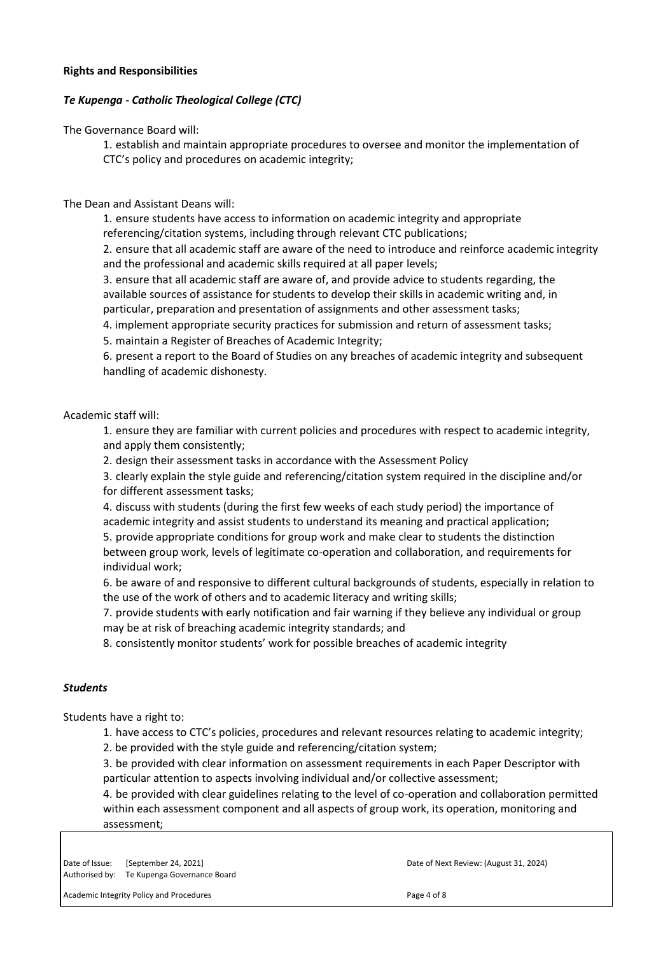#### **Rights and Responsibilities**

# *Te Kupenga - Catholic Theological College (CTC)*

The Governance Board will:

1. establish and maintain appropriate procedures to oversee and monitor the implementation of CTC's policy and procedures on academic integrity;

### The Dean and Assistant Deans will:

1. ensure students have access to information on academic integrity and appropriate

referencing/citation systems, including through relevant CTC publications;

2. ensure that all academic staff are aware of the need to introduce and reinforce academic integrity and the professional and academic skills required at all paper levels;

3. ensure that all academic staff are aware of, and provide advice to students regarding, the available sources of assistance for students to develop their skills in academic writing and, in particular, preparation and presentation of assignments and other assessment tasks;

4. implement appropriate security practices for submission and return of assessment tasks;

5. maintain a Register of Breaches of Academic Integrity;

6. present a report to the Board of Studies on any breaches of academic integrity and subsequent handling of academic dishonesty.

#### Academic staff will:

1. ensure they are familiar with current policies and procedures with respect to academic integrity, and apply them consistently;

2. design their assessment tasks in accordance with the Assessment Policy

3. clearly explain the style guide and referencing/citation system required in the discipline and/or for different assessment tasks;

4. discuss with students (during the first few weeks of each study period) the importance of academic integrity and assist students to understand its meaning and practical application; 5. provide appropriate conditions for group work and make clear to students the distinction between group work, levels of legitimate co-operation and collaboration, and requirements for individual work;

6. be aware of and responsive to different cultural backgrounds of students, especially in relation to the use of the work of others and to academic literacy and writing skills;

7. provide students with early notification and fair warning if they believe any individual or group may be at risk of breaching academic integrity standards; and

8. consistently monitor students' work for possible breaches of academic integrity

# *Students*

Students have a right to:

1. have access to CTC's policies, procedures and relevant resources relating to academic integrity;

2. be provided with the style guide and referencing/citation system;

3. be provided with clear information on assessment requirements in each Paper Descriptor with particular attention to aspects involving individual and/or collective assessment;

4. be provided with clear guidelines relating to the level of co-operation and collaboration permitted within each assessment component and all aspects of group work, its operation, monitoring and

assessment;

Date of Issue: [September 24, 2021] **Date of Next Review: (August 31, 2024)** Authorised by: Te Kupenga Governance Board

Academic Integrity Policy and Procedures **Page 4 of 8** Page 4 of 8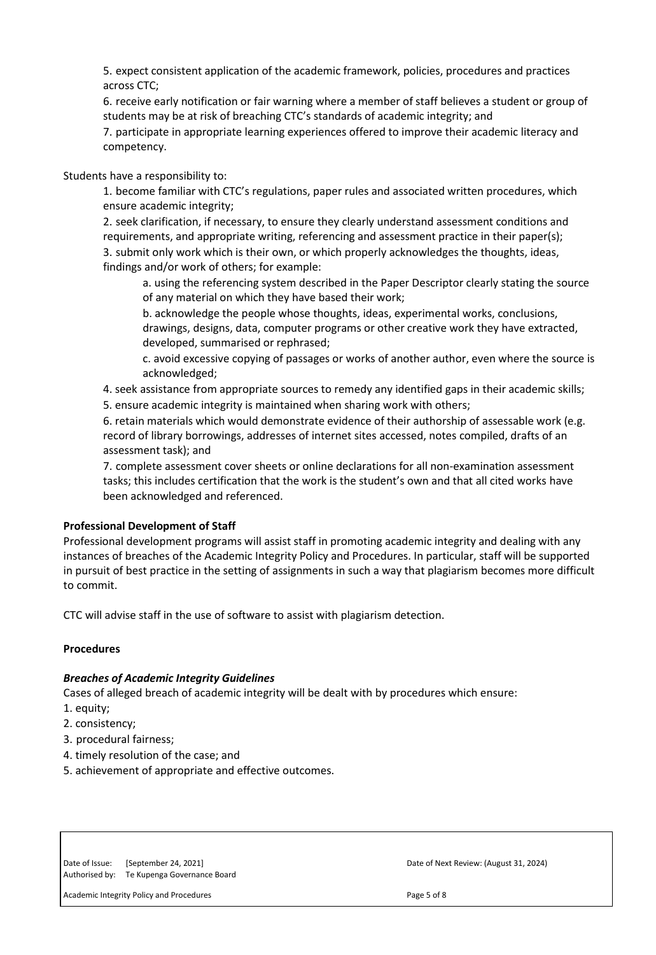5. expect consistent application of the academic framework, policies, procedures and practices across CTC;

6. receive early notification or fair warning where a member of staff believes a student or group of students may be at risk of breaching CTC's standards of academic integrity; and

7. participate in appropriate learning experiences offered to improve their academic literacy and competency.

Students have a responsibility to:

1. become familiar with CTC's regulations, paper rules and associated written procedures, which ensure academic integrity;

2. seek clarification, if necessary, to ensure they clearly understand assessment conditions and requirements, and appropriate writing, referencing and assessment practice in their paper(s); 3. submit only work which is their own, or which properly acknowledges the thoughts, ideas, findings and/or work of others; for example:

a. using the referencing system described in the Paper Descriptor clearly stating the source of any material on which they have based their work;

b. acknowledge the people whose thoughts, ideas, experimental works, conclusions, drawings, designs, data, computer programs or other creative work they have extracted, developed, summarised or rephrased;

c. avoid excessive copying of passages or works of another author, even where the source is acknowledged;

4. seek assistance from appropriate sources to remedy any identified gaps in their academic skills;

5. ensure academic integrity is maintained when sharing work with others;

6. retain materials which would demonstrate evidence of their authorship of assessable work (e.g. record of library borrowings, addresses of internet sites accessed, notes compiled, drafts of an assessment task); and

7. complete assessment cover sheets or online declarations for all non-examination assessment tasks; this includes certification that the work is the student's own and that all cited works have been acknowledged and referenced.

# **Professional Development of Staff**

Professional development programs will assist staff in promoting academic integrity and dealing with any instances of breaches of the Academic Integrity Policy and Procedures. In particular, staff will be supported in pursuit of best practice in the setting of assignments in such a way that plagiarism becomes more difficult to commit.

CTC will advise staff in the use of software to assist with plagiarism detection.

# **Procedures**

#### *Breaches of Academic Integrity Guidelines*

Cases of alleged breach of academic integrity will be dealt with by procedures which ensure:

1. equity;

- 2. consistency;
- 3. procedural fairness;
- 4. timely resolution of the case; and
- 5. achievement of appropriate and effective outcomes.

Date of Issue: [September 24, 2021] Date of Next Review: (August 31, 2024) Authorised by: Te Kupenga Governance Board

Academic Integrity Policy and Procedures **Page 5 of 8** Page 5 of 8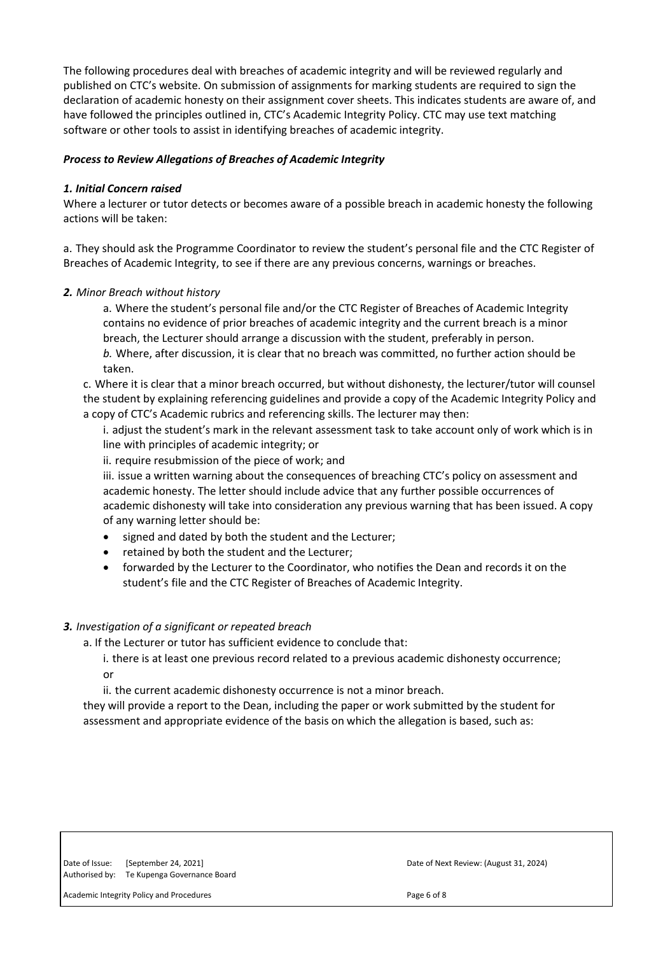The following procedures deal with breaches of academic integrity and will be reviewed regularly and published on CTC's website. On submission of assignments for marking students are required to sign the declaration of academic honesty on their assignment cover sheets. This indicates students are aware of, and have followed the principles outlined in, CTC's Academic Integrity Policy. CTC may use text matching software or other tools to assist in identifying breaches of academic integrity.

# *Process to Review Allegations of Breaches of Academic Integrity*

#### *1. Initial Concern raised*

Where a lecturer or tutor detects or becomes aware of a possible breach in academic honesty the following actions will be taken:

a. They should ask the Programme Coordinator to review the student's personal file and the CTC Register of Breaches of Academic Integrity, to see if there are any previous concerns, warnings or breaches.

#### *2. Minor Breach without history*

a. Where the student's personal file and/or the CTC Register of Breaches of Academic Integrity contains no evidence of prior breaches of academic integrity and the current breach is a minor breach, the Lecturer should arrange a discussion with the student, preferably in person.

*b.* Where, after discussion, it is clear that no breach was committed, no further action should be taken.

c. Where it is clear that a minor breach occurred, but without dishonesty, the lecturer/tutor will counsel the student by explaining referencing guidelines and provide a copy of the Academic Integrity Policy and a copy of CTC's Academic rubrics and referencing skills. The lecturer may then:

i. adjust the student's mark in the relevant assessment task to take account only of work which is in line with principles of academic integrity; or

ii. require resubmission of the piece of work; and

iii. issue a written warning about the consequences of breaching CTC's policy on assessment and academic honesty. The letter should include advice that any further possible occurrences of academic dishonesty will take into consideration any previous warning that has been issued. A copy of any warning letter should be:

- signed and dated by both the student and the Lecturer;
- retained by both the student and the Lecturer;
- forwarded by the Lecturer to the Coordinator, who notifies the Dean and records it on the student's file and the CTC Register of Breaches of Academic Integrity.

# *3. Investigation of a significant or repeated breach*

a. If the Lecturer or tutor has sufficient evidence to conclude that:

i. there is at least one previous record related to a previous academic dishonesty occurrence; or

ii. the current academic dishonesty occurrence is not a minor breach.

they will provide a report to the Dean, including the paper or work submitted by the student for assessment and appropriate evidence of the basis on which the allegation is based, such as:

Date of Issue: [September 24, 2021] Date of Next Review: (August 31, 2024) Authorised by: Te Kupenga Governance Board

Academic Integrity Policy and Procedures **Page 6 of 8** Academic Integrity Policy and Procedures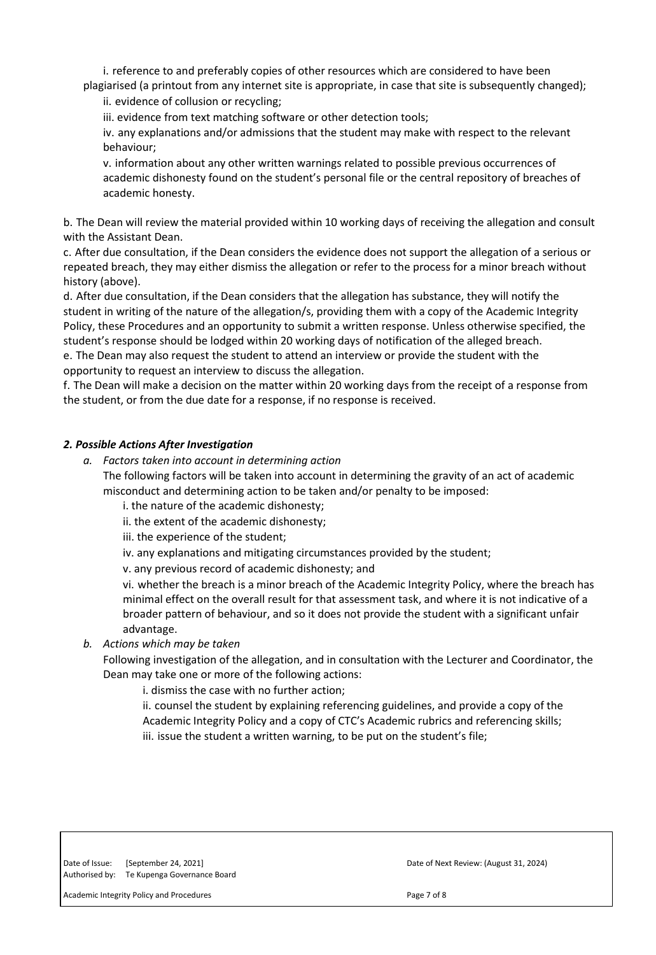i. reference to and preferably copies of other resources which are considered to have been plagiarised (a printout from any internet site is appropriate, in case that site is subsequently changed);

ii. evidence of collusion or recycling;

iii. evidence from text matching software or other detection tools;

iv. any explanations and/or admissions that the student may make with respect to the relevant behaviour;

v. information about any other written warnings related to possible previous occurrences of academic dishonesty found on the student's personal file or the central repository of breaches of academic honesty.

b. The Dean will review the material provided within 10 working days of receiving the allegation and consult with the Assistant Dean.

c. After due consultation, if the Dean considers the evidence does not support the allegation of a serious or repeated breach, they may either dismiss the allegation or refer to the process for a minor breach without history (above).

d. After due consultation, if the Dean considers that the allegation has substance, they will notify the student in writing of the nature of the allegation/s, providing them with a copy of the Academic Integrity Policy, these Procedures and an opportunity to submit a written response. Unless otherwise specified, the student's response should be lodged within 20 working days of notification of the alleged breach. e. The Dean may also request the student to attend an interview or provide the student with the opportunity to request an interview to discuss the allegation.

f. The Dean will make a decision on the matter within 20 working days from the receipt of a response from the student, or from the due date for a response, if no response is received.

# *2. Possible Actions After Investigation*

*a. Factors taken into account in determining action* 

The following factors will be taken into account in determining the gravity of an act of academic misconduct and determining action to be taken and/or penalty to be imposed:

i. the nature of the academic dishonesty;

ii. the extent of the academic dishonesty;

iii. the experience of the student;

iv. any explanations and mitigating circumstances provided by the student;

v. any previous record of academic dishonesty; and

vi. whether the breach is a minor breach of the Academic Integrity Policy, where the breach has minimal effect on the overall result for that assessment task, and where it is not indicative of a broader pattern of behaviour, and so it does not provide the student with a significant unfair advantage.

*b. Actions which may be taken* 

Following investigation of the allegation, and in consultation with the Lecturer and Coordinator, the Dean may take one or more of the following actions:

i. dismiss the case with no further action;

ii. counsel the student by explaining referencing guidelines, and provide a copy of the Academic Integrity Policy and a copy of CTC's Academic rubrics and referencing skills; iii. issue the student a written warning, to be put on the student's file;

Date of Issue: [September 24, 2021] Date of Next Review: (August 31, 2024) Authorised by: Te Kupenga Governance Board

Academic Integrity Policy and Procedures **Page 7 of 8** and 2008 and 2008 and 2008 and 2008 and 2008 and 2008 and 2008 and 2008 and 2008 and 2008 and 2008 and 2008 and 2008 and 2008 and 2008 and 2008 and 2008 and 2008 and 2